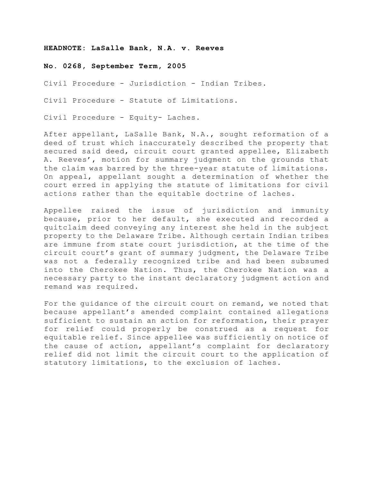#### **HEADNOTE: LaSalle Bank, N.A. v. Reeves**

#### **No. 0268, September Term, 2005**

Civil Procedure - Jurisdiction - Indian Tribes.

Civil Procedure - Statute of Limitations.

Civil Procedure - Equity- Laches.

After appellant, LaSalle Bank, N.A., sought reformation of a deed of trust which inaccurately described the property that secured said deed, circuit court granted appellee, Elizabeth A. Reeves', motion for summary judgment on the grounds that the claim was barred by the three-year statute of limitations. On appeal, appellant sought a determination of whether the court erred in applying the statute of limitations for civil actions rather than the equitable doctrine of laches.

Appellee raised the issue of jurisdiction and immunity because, prior to her default, she executed and recorded a quitclaim deed conveying any interest she held in the subject property to the Delaware Tribe. Although certain Indian tribes are immune from state court jurisdiction, at the time of the circuit court's grant of summary judgment, the Delaware Tribe was not a federally recognized tribe and had been subsumed into the Cherokee Nation. Thus, the Cherokee Nation was a necessary party to the instant declaratory judgment action and remand was required.

For the guidance of the circuit court on remand, we noted that because appellant's amended complaint contained allegations sufficient to sustain an action for reformation, their prayer for relief could properly be construed as a request for equitable relief. Since appellee was sufficiently on notice of the cause of action, appellant's complaint for declaratory relief did not limit the circuit court to the application of statutory limitations, to the exclusion of laches.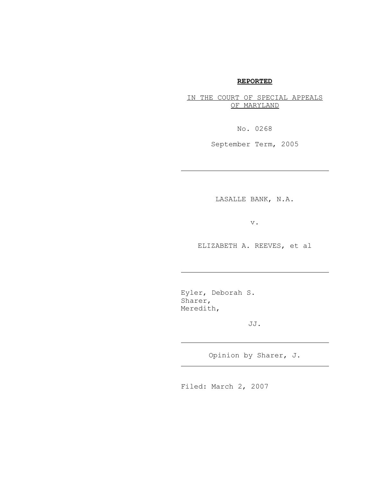# **REPORTED**

IN THE COURT OF SPECIAL APPEALS OF MARYLAND

No. 0268

September Term, 2005

LASALLE BANK, N.A.

v.

ELIZABETH A. REEVES, et al

Eyler, Deborah S. Sharer, Meredith,

j.

J.

J.

JJ.

Opinion by Sharer, J.

Filed: March 2, 2007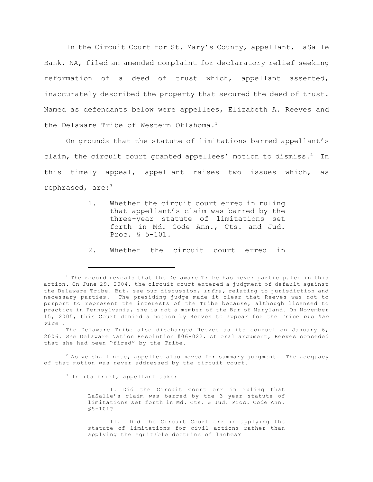In the Circuit Court for St. Mary's County, appellant, LaSalle Bank, NA, filed an amended complaint for declaratory relief seeking reformation of a deed of trust which, appellant asserted, inaccurately described the property that secured the deed of trust. Named as defendants below were appellees, Elizabeth A. Reeves and the Delaware Tribe of Western Oklahoma.<sup>1</sup>

On grounds that the statute of limitations barred appellant's claim, the circuit court granted appellees' motion to dismiss.<sup>2</sup> In this timely appeal, appellant raises two issues which, as rephrased, are: $3^3$ 

- 1. Whether the circuit court erred in ruling that appellant's claim was barred by the three-year statute of limitations set forth in Md. Code Ann., Cts. and Jud. Proc. § 5-101.
- 2. Whether the circuit court erred in

<sup>3</sup> In its brief, appellant asks:

I. Did the Circuit Court err in ruling that LaSalle's claim was barred by the 3 year statute of limitations set forth in Md. Cts. & Jud. Proc. Code Ann.  $$5-101?$ 

 $1$  The record reveals that the Delaware Tribe has never participated in this action. On June 29, 2004, the circuit court entered a judgment of default against the Delaware Tribe. But, see our discussion, *infra,* relating to jurisdiction and necessary parties. The presiding judge made it clear that Reeves was not to purport to represent the interests of the Tribe because, although licensed to practice in Pennsylvania, she is not a member of the Bar of Maryland. On November 15, 2005, this Court denied a motion by Reeves to appear for the Tribe *pro hac vice* .

The Delaware Tribe also discharged Reeves as its counsel on January 6, 2006. *See* Delaware Nation Resolution #06-022. At oral argument, Reeves conceded that she had been "fired" by the Tribe.

 $2$  As we shall note, appellee also moved for summary judgment. The adequacy of that motion was never addressed by the circuit court.

II. Did the Circuit Court err in applying the statute of limitations for civil actions rather than applying the equitable doctrine of laches?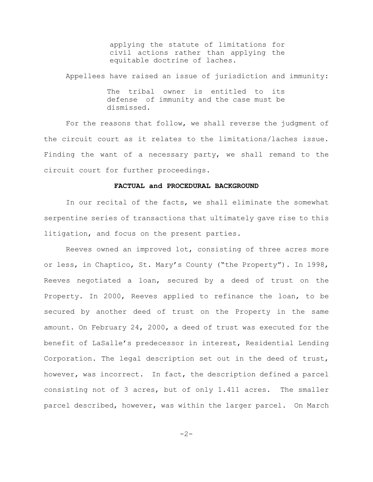applying the statute of limitations for civil actions rather than applying the equitable doctrine of laches.

Appellees have raised an issue of jurisdiction and immunity:

The tribal owner is entitled to its defense of immunity and the case must be dismissed.

For the reasons that follow, we shall reverse the judgment of the circuit court as it relates to the limitations/laches issue. Finding the want of a necessary party, we shall remand to the circuit court for further proceedings.

### **FACTUAL and PROCEDURAL BACKGROUND**

In our recital of the facts, we shall eliminate the somewhat serpentine series of transactions that ultimately gave rise to this litigation, and focus on the present parties.

Reeves owned an improved lot, consisting of three acres more or less, in Chaptico, St. Mary's County ("the Property"). In 1998, Reeves negotiated a loan, secured by a deed of trust on the Property. In 2000, Reeves applied to refinance the loan, to be secured by another deed of trust on the Property in the same amount. On February 24, 2000, a deed of trust was executed for the benefit of LaSalle's predecessor in interest, Residential Lending Corporation. The legal description set out in the deed of trust, however, was incorrect. In fact, the description defined a parcel consisting not of 3 acres, but of only 1.411 acres. The smaller parcel described, however, was within the larger parcel. On March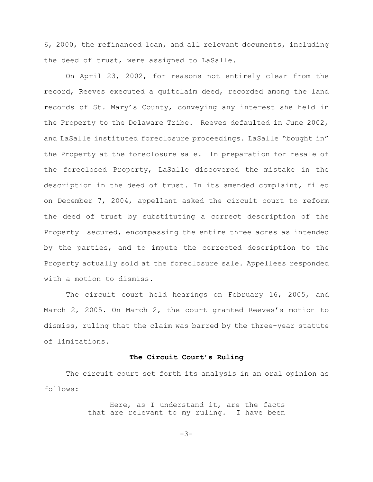6, 2000, the refinanced loan, and all relevant documents, including the deed of trust, were assigned to LaSalle.

On April 23, 2002, for reasons not entirely clear from the record, Reeves executed a quitclaim deed, recorded among the land records of St. Mary's County, conveying any interest she held in the Property to the Delaware Tribe. Reeves defaulted in June 2002, and LaSalle instituted foreclosure proceedings. LaSalle "bought in" the Property at the foreclosure sale. In preparation for resale of the foreclosed Property, LaSalle discovered the mistake in the description in the deed of trust. In its amended complaint, filed on December 7, 2004, appellant asked the circuit court to reform the deed of trust by substituting a correct description of the Property secured, encompassing the entire three acres as intended by the parties, and to impute the corrected description to the Property actually sold at the foreclosure sale. Appellees responded with a motion to dismiss.

The circuit court held hearings on February 16, 2005, and March 2, 2005. On March 2, the court granted Reeves's motion to dismiss, ruling that the claim was barred by the three-year statute of limitations.

### **The Circuit Court's Ruling**

The circuit court set forth its analysis in an oral opinion as follows:

> Here, as I understand it, are the facts that are relevant to my ruling. I have been

> > $-3-$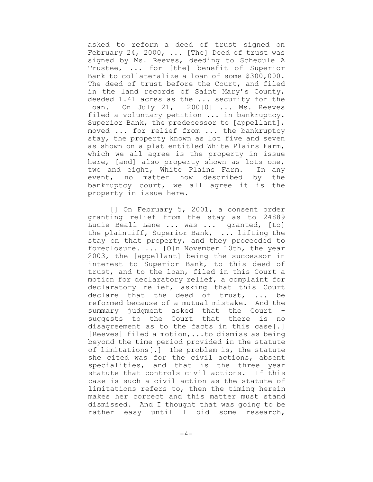asked to reform a deed of trust signed on February 24, 2000, ... [The] Deed of trust was signed by Ms. Reeves, deeding to Schedule A Trustee, ... for [the] benefit of Superior Bank to collateralize a loan of some \$300,000. The deed of trust before the Court, and filed in the land records of Saint Mary's County, deeded 1.41 acres as the ... security for the loan. On July 21, 200[0] ... Ms. Reeves filed a voluntary petition ... in bankruptcy. Superior Bank, the predecessor to [appellant], moved ... for relief from ... the bankruptcy stay, the property known as lot five and seven as shown on a plat entitled White Plains Farm, which we all agree is the property in issue here, [and] also property shown as lots one, two and eight, White Plains Farm. In any event, no matter how described by the bankruptcy court, we all agree it is the property in issue here.

[] On February 5, 2001, a consent order granting relief from the stay as to 24889 Lucie Beall Lane ... was ... granted, [to] the plaintiff, Superior Bank, ... lifting the stay on that property, and they proceeded to foreclosure. ... [O]n November 10th, the year 2003, the [appellant] being the successor in interest to Superior Bank, to this deed of trust, and to the loan, filed in this Court a motion for declaratory relief, a complaint for declaratory relief, asking that this Court declare that the deed of trust, ... be reformed because of a mutual mistake. And the summary judgment asked that the Court suggests to the Court that there is no disagreement as to the facts in this case[.] [Reeves] filed a motion,...to dismiss as being beyond the time period provided in the statute of limitations[.] The problem is, the statute she cited was for the civil actions, absent specialities, and that is the three year statute that controls civil actions. If this case is such a civil action as the statute of limitations refers to, then the timing herein makes her correct and this matter must stand dismissed. And I thought that was going to be rather easy until I did some research,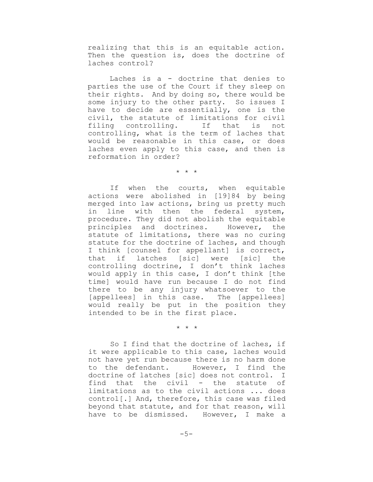realizing that this is an equitable action. Then the question is, does the doctrine of laches control?

Laches is a - doctrine that denies to parties the use of the Court if they sleep on their rights. And by doing so, there would be some injury to the other party. So issues I have to decide are essentially, one is the civil, the statute of limitations for civil filing controlling. If that is not controlling, what is the term of laches that would be reasonable in this case, or does laches even apply to this case, and then is reformation in order?

\* \* \*

If when the courts, when equitable actions were abolished in [19]84 by being merged into law actions, bring us pretty much in line with then the federal system, procedure. They did not abolish the equitable principles and doctrines. However, the statute of limitations, there was no curing statute for the doctrine of laches, and though I think [counsel for appellant] is correct, that if latches [sic] were [sic] the controlling doctrine, I don't think laches would apply in this case, I don't think [the time] would have run because I do not find there to be any injury whatsoever to the [appellees] in this case. The [appellees] would really be put in the position they intended to be in the first place.

\* \* \*

So I find that the doctrine of laches, if it were applicable to this case, laches would not have yet run because there is no harm done to the defendant. However, I find the doctrine of latches [sic] does not control. I find that the civil - the statute of limitations as to the civil actions ... does control[.] And, therefore, this case was filed beyond that statute, and for that reason, will have to be dismissed. However, I make a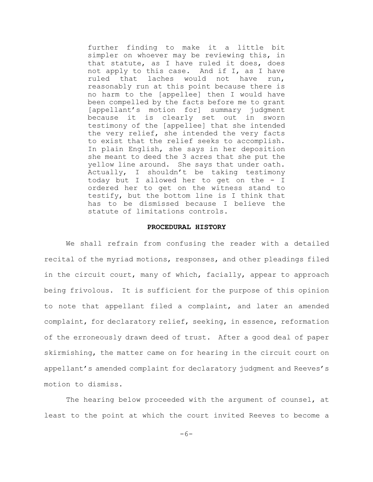further finding to make it a little bit simpler on whoever may be reviewing this, in that statute, as I have ruled it does, does not apply to this case. And if I, as I have ruled that laches would not have run, reasonably run at this point because there is no harm to the [appellee] then I would have been compelled by the facts before me to grant [appellant's motion for] summary judgment because it is clearly set out in sworn testimony of the [appellee] that she intended the very relief, she intended the very facts to exist that the relief seeks to accomplish. In plain English, she says in her deposition she meant to deed the 3 acres that she put the yellow line around. She says that under oath. Actually, I shouldn't be taking testimony today but I allowed her to get on the - I ordered her to get on the witness stand to testify, but the bottom line is I think that has to be dismissed because I believe the statute of limitations controls.

#### **PROCEDURAL HISTORY**

We shall refrain from confusing the reader with a detailed recital of the myriad motions, responses, and other pleadings filed in the circuit court, many of which, facially, appear to approach being frivolous. It is sufficient for the purpose of this opinion to note that appellant filed a complaint, and later an amended complaint, for declaratory relief, seeking, in essence, reformation of the erroneously drawn deed of trust. After a good deal of paper skirmishing, the matter came on for hearing in the circuit court on appellant's amended complaint for declaratory judgment and Reeves's motion to dismiss.

The hearing below proceeded with the argument of counsel, at least to the point at which the court invited Reeves to become a

-6-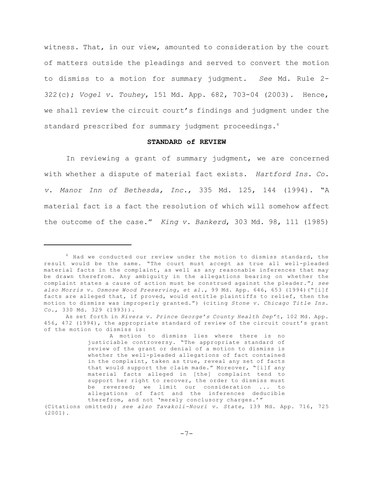witness. That, in our view, amounted to consideration by the court of matters outside the pleadings and served to convert the motion to dismiss to a motion for summary judgment. *See* Md. Rule 2- 322(c); *Vogel v. Touhey*, 151 Md. App. 682, 703-04 (2003). Hence, we shall review the circuit court's findings and judgment under the standard prescribed for summary judgment proceedings.<sup>4</sup>

## **STANDARD of REVIEW**

In reviewing a grant of summary judgment, we are concerned with whether a dispute of material fact exists. *Hartford Ins. Co. v. Manor Inn of Bethesda, Inc.*, 335 Md. 125, 144 (1994). "A material fact is a fact the resolution of which will somehow affect the outcome of the case." *King v. Bankerd*, 303 Md. 98, 111 (1985)

<sup>&</sup>lt;sup>4</sup> Had we conducted our review under the motion to dismiss standard, the result would be the same. "The court must accept as true all well-pleaded material facts in the complaint, as well as any reasonable inferences that may be drawn therefrom. Any ambiguity in the allegations bearing on whether the complaint states a cause of action must be construed against the pleader."; *see also Morris v. Osmose Wood Preserving, et al.*, 99 Md. App. 646, 653 (1994)("[i]f facts are alleged that, if proved, would entitle plaintiffs to relief, then the motion to dismiss was improperly granted.") (citing *Stone v. Chicago Title Ins. Co.*, 330 Md. 329 (1993)).

As set forth in *Rivera v. Prince George's County Health Dep't*, 102 Md. App. 456, 472 (1994), the appropriate standard of review of the circuit court's grant of the motion to dismiss is:

A motion to dismiss lies where there is no justiciable controversy. "The appropriate standard of review of the grant or denial of a motion to dismiss is whether the well-pleaded allegations of fact contained in the complaint, taken as true, reveal any set of facts that would support the claim made." Moreover, "[i]f any material facts alleged in [the] complaint tend to support her right to recover, the order to dismiss must be reversed; we limit our consideration ... to allegations of fact and the inferences deducible therefrom, and not 'merely conclusory charges.'"

<sup>(</sup>Citations omitted); *see also Tavakoli-Nouri v. State*, 139 Md. App. 716, 725 (2001).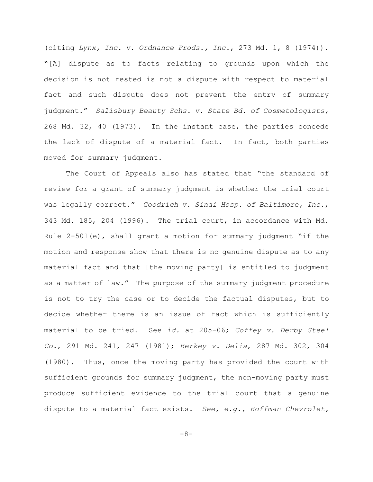(citing *Lynx, Inc. v. Ordnance Prods., Inc.*, 273 Md. 1, 8 (1974)). "[A] dispute as to facts relating to grounds upon which the decision is not rested is not a dispute with respect to material fact and such dispute does not prevent the entry of summary judgment." *Salisbury Beauty Schs. v. State Bd. of Cosmetologists,* 268 Md. 32, 40 (1973). In the instant case, the parties concede the lack of dispute of a material fact. In fact, both parties moved for summary judgment.

The Court of Appeals also has stated that "the standard of review for a grant of summary judgment is whether the trial court was legally correct." *Goodrich v. Sinai Hosp. of Baltimore, Inc.*, 343 Md. 185, 204 (1996). The trial court, in accordance with Md. Rule  $2-501(e)$ , shall grant a motion for summary judgment "if the motion and response show that there is no genuine dispute as to any material fact and that [the moving party] is entitled to judgment as a matter of law." The purpose of the summary judgment procedure is not to try the case or to decide the factual disputes, but to decide whether there is an issue of fact which is sufficiently material to be tried. See *id.* at 205-06; *Coffey v. Derby Steel Co.*, 291 Md. 241, 247 (1981); *Berkey v. Delia*, 287 Md. 302, 304 (1980). Thus, once the moving party has provided the court with sufficient grounds for summary judgment, the non-moving party must produce sufficient evidence to the trial court that a genuine dispute to a material fact exists. *See, e.g., Hoffman Chevrolet,*

-8-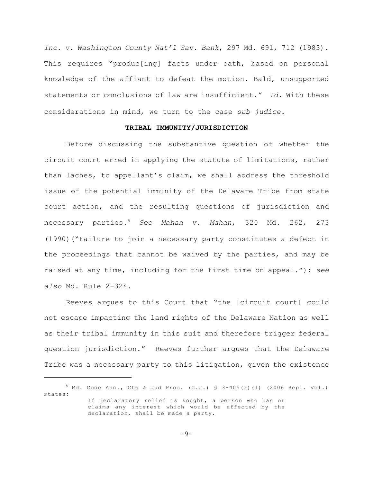*Inc. v. Washington County Nat'l Sav. Bank*, 297 Md. 691, 712 (1983). This requires "produc[ing] facts under oath, based on personal knowledge of the affiant to defeat the motion. Bald, unsupported statements or conclusions of law are insufficient." *Id.* With these considerations in mind, we turn to the case *sub judice.*

#### **TRIBAL IMMUNITY/JURISDICTION**

Before discussing the substantive question of whether the circuit court erred in applying the statute of limitations, rather than laches, to appellant's claim, we shall address the threshold issue of the potential immunity of the Delaware Tribe from state court action, and the resulting questions of jurisdiction and necessary parties.<sup>5</sup> *See Mahan v. Mahan*, 320 Md. 262, 273 (1990)("Failure to join a necessary party constitutes a defect in the proceedings that cannot be waived by the parties, and may be raised at any time, including for the first time on appeal."); *see also* Md. Rule 2-324.

Reeves argues to this Court that "the [circuit court] could not escape impacting the land rights of the Delaware Nation as well as their tribal immunity in this suit and therefore trigger federal question jurisdiction." Reeves further argues that the Delaware Tribe was a necessary party to this litigation, given the existence

 $5$  Md. Code Ann., Cts & Jud Proc. (C.J.)  $$3-405(a)(1)$  (2006 Repl. Vol.) states: If declaratory relief is sought, a person who has or claims any interest which would be affected by the declaration, shall be made a party.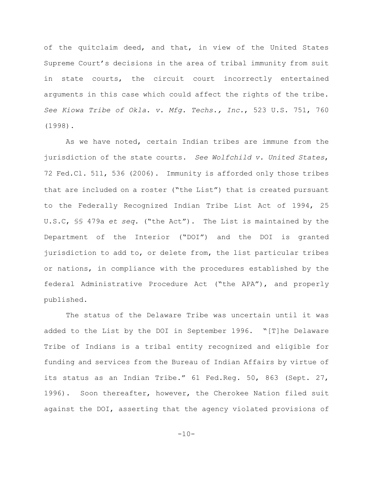of the quitclaim deed, and that, in view of the United States Supreme Court's decisions in the area of tribal immunity from suit in state courts, the circuit court incorrectly entertained arguments in this case which could affect the rights of the tribe. *See Kiowa Tribe of Okla. v. Mfg. Techs., Inc.*, 523 U.S. 751, 760 (1998).

As we have noted, certain Indian tribes are immune from the jurisdiction of the state courts. *See Wolfchild v. United States*, 72 Fed.Cl. 511, 536 (2006). Immunity is afforded only those tribes that are included on a roster ("the List") that is created pursuant to the Federally Recognized Indian Tribe List Act of 1994, 25 U.S.C, §§ 479a *et seq.* ("the Act"). The List is maintained by the Department of the Interior ("DOI") and the DOI is granted jurisdiction to add to, or delete from, the list particular tribes or nations, in compliance with the procedures established by the federal Administrative Procedure Act ("the APA"), and properly published.

The status of the Delaware Tribe was uncertain until it was added to the List by the DOI in September 1996. "[T]he Delaware Tribe of Indians is a tribal entity recognized and eligible for funding and services from the Bureau of Indian Affairs by virtue of its status as an Indian Tribe." 61 Fed.Reg. 50, 863 (Sept. 27, 1996). Soon thereafter, however, the Cherokee Nation filed suit against the DOI, asserting that the agency violated provisions of

 $-10-$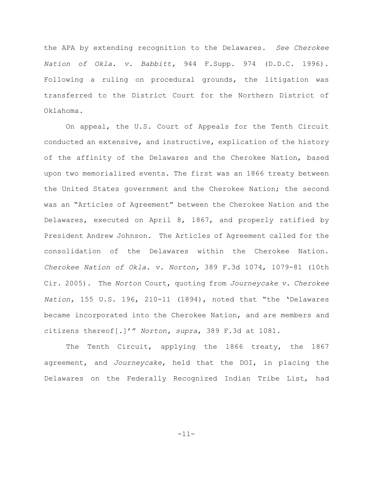the APA by extending recognition to the Delawares. *See Cherokee Nation of Okla. v. Babbitt,* 944 F.Supp. 974 (D.D.C. 1996). Following a ruling on procedural grounds, the litigation was transferred to the District Court for the Northern District of Oklahoma.

On appeal, the U.S. Court of Appeals for the Tenth Circuit conducted an extensive, and instructive, explication of the history of the affinity of the Delawares and the Cherokee Nation, based upon two memorialized events. The first was an 1866 treaty between the United States government and the Cherokee Nation; the second was an "Articles of Agreement" between the Cherokee Nation and the Delawares, executed on April 8, 1867, and properly ratified by President Andrew Johnson. The Articles of Agreement called for the consolidation of the Delawares within the Cherokee Nation. *Cherokee Nation of Okla. v. Norton,* 389 F.3d 1074, 1079-81 (10th Cir. 2005). The *Norton* Court, quoting from *Journeycake v. Cherokee Nation,* 155 U.S. 196, 210-11 (1894), noted that "the 'Delawares became incorporated into the Cherokee Nation, and are members and citizens thereof[.]'" *Norton, supra*, 389 F.3d at 1081.

The Tenth Circuit, applying the 1866 treaty, the 1867 agreement, and *Journeycake*, held that the DOI, in placing the Delawares on the Federally Recognized Indian Tribe List, had

-11-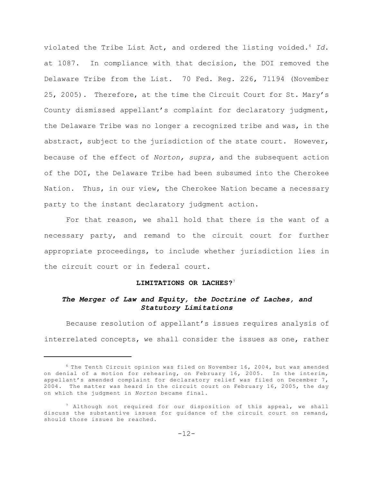violated the Tribe List Act, and ordered the listing voided.<sup>6</sup> *Id*. at 1087. In compliance with that decision, the DOI removed the Delaware Tribe from the List. 70 Fed. Reg. 226, 71194 (November 25, 2005). Therefore, at the time the Circuit Court for St. Mary's County dismissed appellant's complaint for declaratory judgment, the Delaware Tribe was no longer a recognized tribe and was, in the abstract, subject to the jurisdiction of the state court. However, because of the effect of *Norton, supra,* and the subsequent action of the DOI, the Delaware Tribe had been subsumed into the Cherokee Nation. Thus, in our view, the Cherokee Nation became a necessary party to the instant declaratory judgment action.

For that reason, we shall hold that there is the want of a necessary party, and remand to the circuit court for further appropriate proceedings, to include whether jurisdiction lies in the circuit court or in federal court.

## **LIMITATIONS OR LACHES?**<sup>7</sup>

## *The Merger of Law and Equity, the Doctrine of Laches, and Statutory Limitations*

Because resolution of appellant's issues requires analysis of interrelated concepts, we shall consider the issues as one, rather

 $6$  The Tenth Circuit opinion was filed on November 16, 2004, but was amended on denial of a motion for rehearing, on February 16, 2005. In the interim, appellant's amended complaint for declaratory relief was filed on December 7, 2004. The matter was heard in the circuit court on February 16, 2005, the day on which the judgment in *Norton* became final.

 $7$  Although not required for our disposition of this appeal, we shall discuss the substantive issues for guidance of the circuit court on remand, should those issues be reached.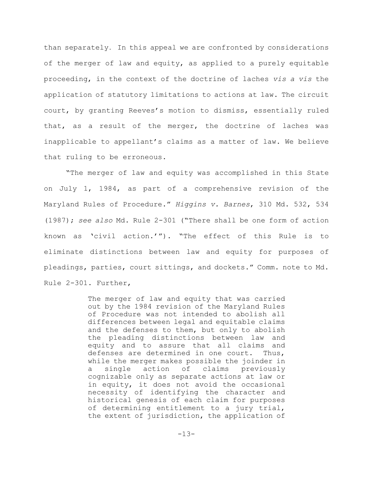than separately. In this appeal we are confronted by considerations of the merger of law and equity, as applied to a purely equitable proceeding, in the context of the doctrine of laches *vis a vis* the application of statutory limitations to actions at law. The circuit court, by granting Reeves's motion to dismiss, essentially ruled that, as a result of the merger, the doctrine of laches was inapplicable to appellant's claims as a matter of law. We believe that ruling to be erroneous.

"The merger of law and equity was accomplished in this State on July 1, 1984, as part of a comprehensive revision of the Maryland Rules of Procedure." *Higgins v. Barnes*, 310 Md. 532, 534 (1987); *see also* Md. Rule 2-301 ("There shall be one form of action known as 'civil action.'"). "The effect of this Rule is to eliminate distinctions between law and equity for purposes of pleadings, parties, court sittings, and dockets." Comm. note to Md. Rule 2-301. Further,

> The merger of law and equity that was carried out by the 1984 revision of the Maryland Rules of Procedure was not intended to abolish all differences between legal and equitable claims and the defenses to them, but only to abolish the pleading distinctions between law and equity and to assure that all claims and defenses are determined in one court. Thus, while the merger makes possible the joinder in a single action of claims previously cognizable only as separate actions at law or in equity, it does not avoid the occasional necessity of identifying the character and historical genesis of each claim for purposes of determining entitlement to a jury trial, the extent of jurisdiction, the application of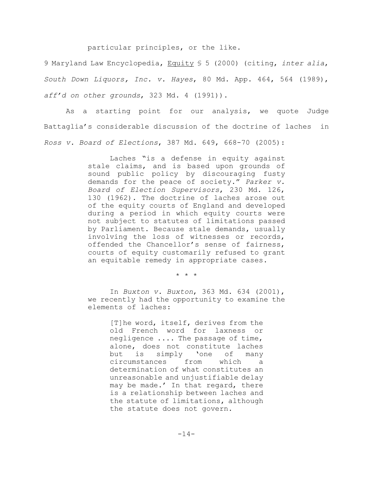particular principles, or the like.

9 Maryland Law Encyclopedia, Equity § 5 (2000) (citing, *inter alia*, *South Down Liquors, Inc. v. Hayes*, 80 Md. App. 464, 564 (1989), *aff'd on other grounds*, 323 Md. 4 (1991)).

As a starting point for our analysis, we quote Judge Battaglia's considerable discussion of the doctrine of laches in *Ross v. Board of Elections*, 387 Md. 649, 668-70 (2005):

> Laches "is a defense in equity against stale claims, and is based upon grounds of sound public policy by discouraging fusty demands for the peace of society." *Parker v. Board of Election Supervisors*, 230 Md. 126, 130 (1962). The doctrine of laches arose out of the equity courts of England and developed during a period in which equity courts were not subject to statutes of limitations passed by Parliament. Because stale demands, usually involving the loss of witnesses or records, offended the Chancellor's sense of fairness, courts of equity customarily refused to grant an equitable remedy in appropriate cases.

> > \* \* \*

In *Buxton v. Buxton*, 363 Md. 634 (2001), we recently had the opportunity to examine the elements of laches:

> [T]he word, itself, derives from the old French word for laxness or negligence .... The passage of time, alone, does not constitute laches but is simply 'one of many circumstances from which a determination of what constitutes an unreasonable and unjustifiable delay may be made.' In that regard, there is a relationship between laches and the statute of limitations, although the statute does not govern.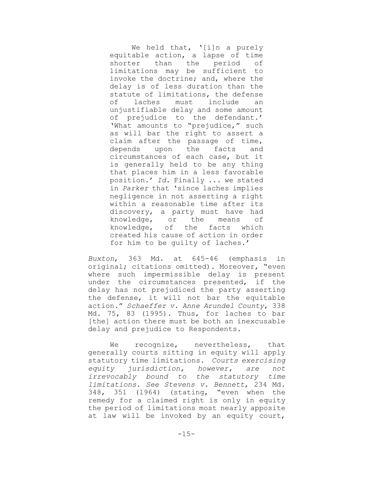We held that, '[i]n a purely equitable action, a lapse of time shorter than the period of limitations may be sufficient to invoke the doctrine; and, where the delay is of less duration than the statute of limitations, the defense of laches must include an unjustifiable delay and some amount of prejudice to the defendant.' 'What amounts to "prejudice," such as will bar the right to assert a claim after the passage of time, depends upon the facts and circumstances of each case, but it is generally held to be any thing that places him in a less favorable position.' *Id.* Finally ... we stated in *Parker* that 'since laches implies negligence in not asserting a right within a reasonable time after its discovery, a party must have had knowledge, or the means of knowledge, of the facts which created his cause of action in order for him to be guilty of laches.'

*Buxton*, 363 Md. at 645-46 (emphasis in original; citations omitted). Moreover, "even where such impermissible delay is present under the circumstances presented, if the delay has not prejudiced the party asserting the defense, it will not bar the equitable action." *Schaeffer v. Anne Arundel County*, 338 Md. 75, 83 (1995). Thus, for laches to bar [the] action there must be both an inexcusable delay and prejudice to Respondents.

We recognize, nevertheless, that generally courts sitting in equity will apply statutory time limitations. *Courts exercising equity jurisdiction, however, are not irrevocably bound to the statutory time limitations. See Stevens v. Bennett*, 234 Md. 348, 351 (1964) (stating, "even when the remedy for a claimed right is only in equity the period of limitations most nearly apposite at law will be invoked by an equity court,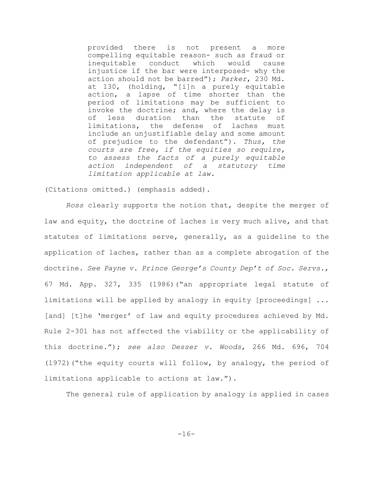provided there is not present a more compelling equitable reason- such as fraud or inequitable conduct which would cause injustice if the bar were interposed- why the action should not be barred"); *Parker*, 230 Md. at 130, (holding, "[i]n a purely equitable action, a lapse of time shorter than the period of limitations may be sufficient to invoke the doctrine; and, where the delay is of less duration than the statute of limitations, the defense of laches must include an unjustifiable delay and some amount of prejudice to the defendant"). *Thus, the courts are free, if the equities so require, to assess the facts of a purely equitable action independent of a statutory time limitation applicable at law.*

(Citations omitted.) (emphasis added).

*Ross* clearly supports the notion that, despite the merger of law and equity, the doctrine of laches is very much alive, and that statutes of limitations serve, generally, as a guideline to the application of laches, rather than as a complete abrogation of the doctrine. *See Payne v. Prince George's County Dep't of Soc. Servs.*, 67 Md. App. 327, 335 (1986)("an appropriate legal statute of limitations will be applied by analogy in equity [proceedings] ... [and] [t]he 'merger' of law and equity procedures achieved by Md. Rule 2-301 has not affected the viability or the applicability of this doctrine."); *see also Desser v. Woods*, 266 Md. 696, 704 (1972)("the equity courts will follow, by analogy, the period of limitations applicable to actions at law.").

The general rule of application by analogy is applied in cases

-16-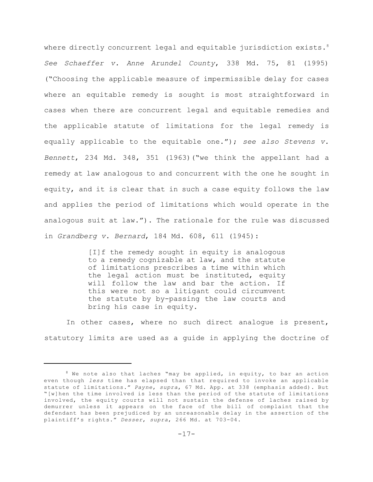where directly concurrent legal and equitable jurisdiction exists.<sup>8</sup> *See Schaeffer v. Anne Arundel County*, 338 Md. 75, 81 (1995) ("Choosing the applicable measure of impermissible delay for cases where an equitable remedy is sought is most straightforward in cases when there are concurrent legal and equitable remedies and the applicable statute of limitations for the legal remedy is equally applicable to the equitable one."); *see also Stevens v. Bennett*, 234 Md. 348, 351 (1963)("we think the appellant had a remedy at law analogous to and concurrent with the one he sought in equity, and it is clear that in such a case equity follows the law and applies the period of limitations which would operate in the analogous suit at law."). The rationale for the rule was discussed in *Grandberg v. Bernard*, 184 Md. 608, 611 (1945):

> [I]f the remedy sought in equity is analogous to a remedy cognizable at law, and the statute of limitations prescribes a time within which the legal action must be instituted, equity will follow the law and bar the action. If this were not so a litigant could circumvent the statute by by-passing the law courts and bring his case in equity.

In other cases, where no such direct analogue is present, statutory limits are used as a guide in applying the doctrine of

 $8$  We note also that laches "may be applied, in equity, to bar an action even though *less* time has elapsed than that required to invoke an applicable statute of limitations." *Payne*, *supra*, 67 Md. App. at 338 (emphasis added). But "[w]hen the time involved is less than the period of the statute of limitations involved, the equity courts will not sustain the defense of laches raised by demurrer unless it appears on the face of the bill of complaint that the defendant has been prejudiced by an unreasonable delay in the assertion of the plaintiff's rights." *Desser*, *supra*, 266 Md. at 703-04.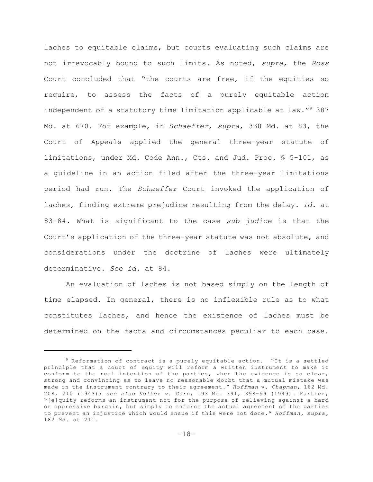laches to equitable claims, but courts evaluating such claims are not irrevocably bound to such limits. As noted, *supra*, the *Ross* Court concluded that "the courts are free, if the equities so require, to assess the facts of a purely equitable action independent of a statutory time limitation applicable at law." $9387$ Md. at 670. For example, in *Schaeffer*, *supra*, 338 Md. at 83, the Court of Appeals applied the general three-year statute of limitations, under Md. Code Ann., Cts. and Jud. Proc. § 5-101, as a guideline in an action filed after the three-year limitations period had run. The *Schaeffer* Court invoked the application of laches, finding extreme prejudice resulting from the delay. *Id.* at 83-84. What is significant to the case *sub judice* is that the Court's application of the three-year statute was not absolute, and considerations under the doctrine of laches were ultimately determinative. *See id.* at 84.

An evaluation of laches is not based simply on the length of time elapsed. In general, there is no inflexible rule as to what constitutes laches, and hence the existence of laches must be determined on the facts and circumstances peculiar to each case.

<sup>9</sup> Reformation of contract is a purely equitable action. "It is a settled principle that a court of equity will reform a written instrument to make it conform to the real intention of the parties, when the evidence is so clear, strong and convincing as to leave no reasonable doubt that a mutual mistake was made in the instrument contrary to their agreement." *Hoffman* v. *Chapman*, 182 Md. 208, 210 (1943); *see also Kolker v. Gorn*, 193 Md. 391, 398-99 (1949). Further, "[e]quity reforms an instrument not for the purpose of relieving against a hard or oppressive bargain, but simply to enforce the actual agreement of the parties to prevent an injustice which would ensue if this were not done." *Hoffman, supra,* 182 Md. at 211.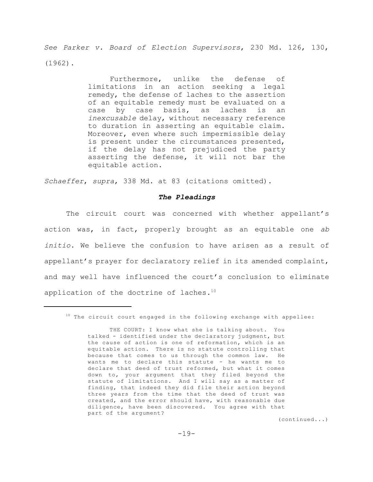*See Parker v. Board of Election Supervisors*, 230 Md. 126, 130, (1962).

> Furthermore, unlike the defense of limitations in an action seeking a legal remedy, the defense of laches to the assertion of an equitable remedy must be evaluated on a case by case basis, as laches is an *inexcusable* delay, without necessary reference to duration in asserting an equitable claim. Moreover, even where such impermissible delay is present under the circumstances presented, if the delay has not prejudiced the party asserting the defense, it will not bar the equitable action.

*Schaeffer*, *supra*, 338 Md. at 83 (citations omitted).

## *The Pleadings*

The circuit court was concerned with whether appellant's action was, in fact, properly brought as an equitable one *ab initio*. We believe the confusion to have arisen as a result of appellant's prayer for declaratory relief in its amended complaint, and may well have influenced the court's conclusion to eliminate application of the doctrine of laches.<sup>10</sup>

(continued...)

 $10$  The circuit court engaged in the following exchange with appellee:

THE COURT: I know what she is talking about. You talked - identified under the declaratory judgment, but the cause of action is one of reformation, which is an equitable action. There is no statute controlling that because that comes to us through the common law. He wants me to declare this statute - he wants me to declare that deed of trust reformed, but what it comes down to, your argument that they filed beyond the statute of limitations. And I will say as a matter of finding, that indeed they did file their action beyond three years from the time that the deed of trust was created, and the error should have, with reasonable due diligence, have been discovered. You agree with that part of the argument?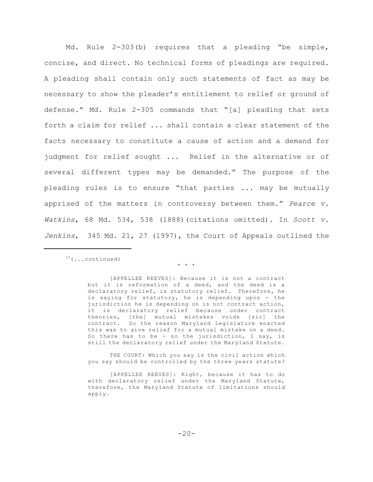Md. Rule 2-303(b) requires that a pleading "be simple, concise, and direct. No technical forms of pleadings are required. A pleading shall contain only such statements of fact as may be necessary to show the pleader's entitlement to relief or ground of defense." Md. Rule 2-305 commands that "[a] pleading that sets forth a claim for relief ... shall contain a clear statement of the facts necessary to constitute a cause of action and a demand for judgment for relief sought ... Relief in the alternative or of several different types may be demanded." The purpose of the pleading rules is to ensure "that parties ... may be mutually apprised of the matters in controversy between them." *Pearce v. Watkins*, 68 Md. 534, 538 (1888)(citations omitted). In *Scott v. Jenkins*, 345 Md. 21, 27 (1997), the Court of Appeals outlined the

 $10$  (...continued)

\* \* \*

[APPELLEE REEVES]: Because it is not a contract but it is reformation of a deed, and the deed is a declaratory relief, is statutory relief. Therefore, he is saying for statutory, he is depending upon - the jurisdiction he is depending on is not contract action, it is declaratory relief because under contract theories, [the] mutual mistakes voids [sic] the contract. So the reason Maryland Legislature enacted this was to give relief for a mutual mistake on a deed. So there has to be - so the jurisdiction, I say, is still the declaratory relief under the Maryland Statute.

THE COURT: Which you say is the civil action which you say should be controlled by the three years statute?

[APPELLEE REEVES]: Right, because it has to do with declaratory relief under the Maryland Statute, therefore, the Maryland Statute of limitations should apply.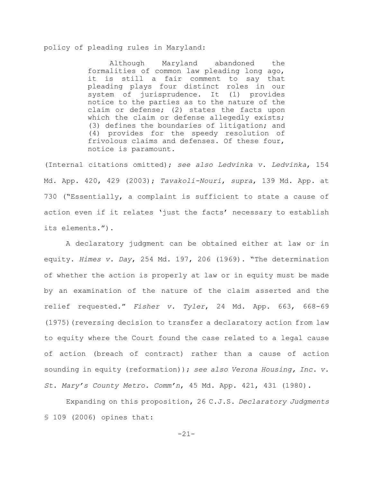policy of pleading rules in Maryland:

Although Maryland abandoned the formalities of common law pleading long ago, it is still a fair comment to say that pleading plays four distinct roles in our system of jurisprudence. It (1) provides notice to the parties as to the nature of the claim or defense; (2) states the facts upon which the claim or defense allegedly exists; (3) defines the boundaries of litigation; and (4) provides for the speedy resolution of frivolous claims and defenses. Of these four, notice is paramount.

(Internal citations omitted); *see also Ledvinka v. Ledvinka*, 154 Md. App. 420, 429 (2003); *Tavakoli-Nouri*, *supra*, 139 Md. App. at 730 ("Essentially, a complaint is sufficient to state a cause of action even if it relates 'just the facts' necessary to establish its elements.").

A declaratory judgment can be obtained either at law or in equity. *Himes v. Day*, 254 Md. 197, 206 (1969). "The determination of whether the action is properly at law or in equity must be made by an examination of the nature of the claim asserted and the relief requested." *Fisher v. Tyler*, 24 Md. App. 663, 668-69 (1975)(reversing decision to transfer a declaratory action from law to equity where the Court found the case related to a legal cause of action (breach of contract) rather than a cause of action sounding in equity (reformation)); *see also Verona Housing, Inc. v. St. Mary's County Metro. Comm'n*, 45 Md. App. 421, 431 (1980).

Expanding on this proposition, 26 C.J.S. *Declaratory Judgments* § 109 (2006) opines that:

-21-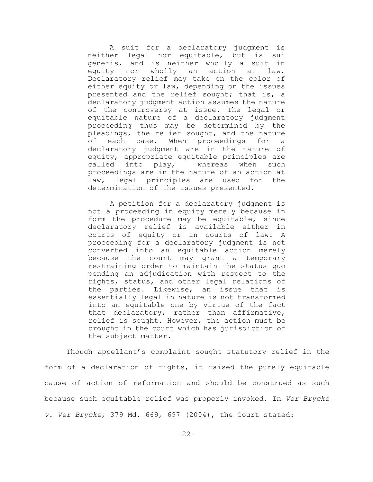A suit for a declaratory judgment is neither legal nor equitable, but is sui generis, and is neither wholly a suit in equity nor wholly an action at law. Declaratory relief may take on the color of either equity or law, depending on the issues presented and the relief sought; that is, a declaratory judgment action assumes the nature of the controversy at issue. The legal or equitable nature of a declaratory judgment proceeding thus may be determined by the pleadings, the relief sought, and the nature of each case. When proceedings for a declaratory judgment are in the nature of equity, appropriate equitable principles are called into play, whereas when such proceedings are in the nature of an action at law, legal principles are used for the determination of the issues presented.

A petition for a declaratory judgment is not a proceeding in equity merely because in form the procedure may be equitable, since declaratory relief is available either in courts of equity or in courts of law. A proceeding for a declaratory judgment is not converted into an equitable action merely because the court may grant a temporary restraining order to maintain the status quo pending an adjudication with respect to the rights, status, and other legal relations of the parties. Likewise, an issue that is essentially legal in nature is not transformed into an equitable one by virtue of the fact that declaratory, rather than affirmative, relief is sought. However, the action must be brought in the court which has jurisdiction of the subject matter.

Though appellant's complaint sought statutory relief in the form of a declaration of rights, it raised the purely equitable cause of action of reformation and should be construed as such because such equitable relief was properly invoked. In *Ver Brycke v. Ver Brycke*, 379 Md. 669, 697 (2004), the Court stated: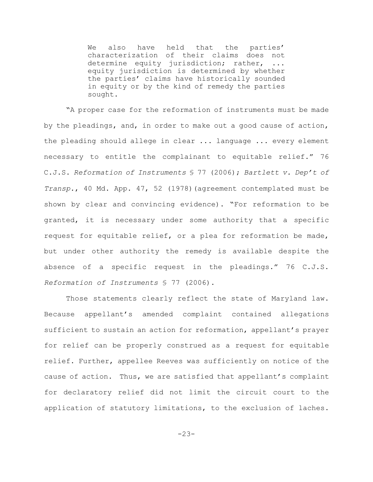We also have held that the parties' characterization of their claims does not determine equity jurisdiction; rather, ... equity jurisdiction is determined by whether the parties' claims have historically sounded in equity or by the kind of remedy the parties sought.

"A proper case for the reformation of instruments must be made by the pleadings, and, in order to make out a good cause of action, the pleading should allege in clear ... language ... every element necessary to entitle the complainant to equitable relief." 76 C.J.S. *Reformation of Instruments* § 77 (2006); *Bartlett v. Dep't of Transp.*, 40 Md. App. 47, 52 (1978)(agreement contemplated must be shown by clear and convincing evidence). "For reformation to be granted, it is necessary under some authority that a specific request for equitable relief, or a plea for reformation be made, but under other authority the remedy is available despite the absence of a specific request in the pleadings." 76 C.J.S. *Reformation of Instruments* § 77 (2006).

Those statements clearly reflect the state of Maryland law. Because appellant's amended complaint contained allegations sufficient to sustain an action for reformation, appellant's prayer for relief can be properly construed as a request for equitable relief. Further, appellee Reeves was sufficiently on notice of the cause of action. Thus, we are satisfied that appellant's complaint for declaratory relief did not limit the circuit court to the application of statutory limitations, to the exclusion of laches.

-23-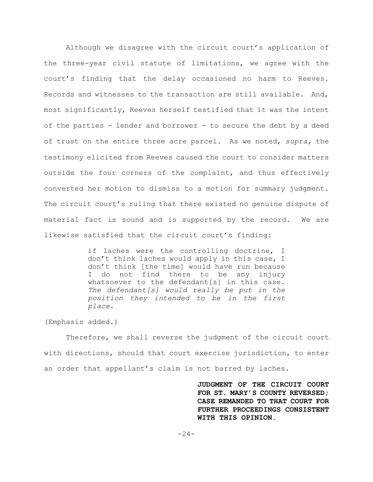Although we disagree with the circuit court's application of the three-year civil statute of limitations, we agree with the court's finding that the delay occasioned no harm to Reeves. Records and witnesses to the transaction are still available. And, most significantly, Reeves herself testified that it was the intent of the parties - lender and borrower - to secure the debt by a deed of trust on the entire three acre parcel. As we noted, *supra,* the testimony elicited from Reeves caused the court to consider matters outside the four corners of the complaint, and thus effectively converted her motion to dismiss to a motion for summary judgment. The circuit court's ruling that there existed no genuine dispute of material fact is sound and is supported by the record. We are likewise satisfied that the circuit court's finding:

> if laches were the controlling doctrine, I don't think laches would apply in this case, I don't think [the time] would have run because I do not find there to be any injury whatsoever to the defendant[s] in this case. *The defendant[s] would really be put in the position they intended to be in the first place.*

(Emphasis added.)

Therefore, we shall reverse the judgment of the circuit court with directions, should that court exercise jurisdiction, to enter an order that appellant's claim is not barred by laches.

> **JUDGMENT OF THE CIRCUIT COURT FOR ST. MARY'S COUNTY REVERSED; CASE REMANDED TO THAT COURT FOR FURTHER PROCEEDINGS CONSISTENT WITH THIS OPINION.**